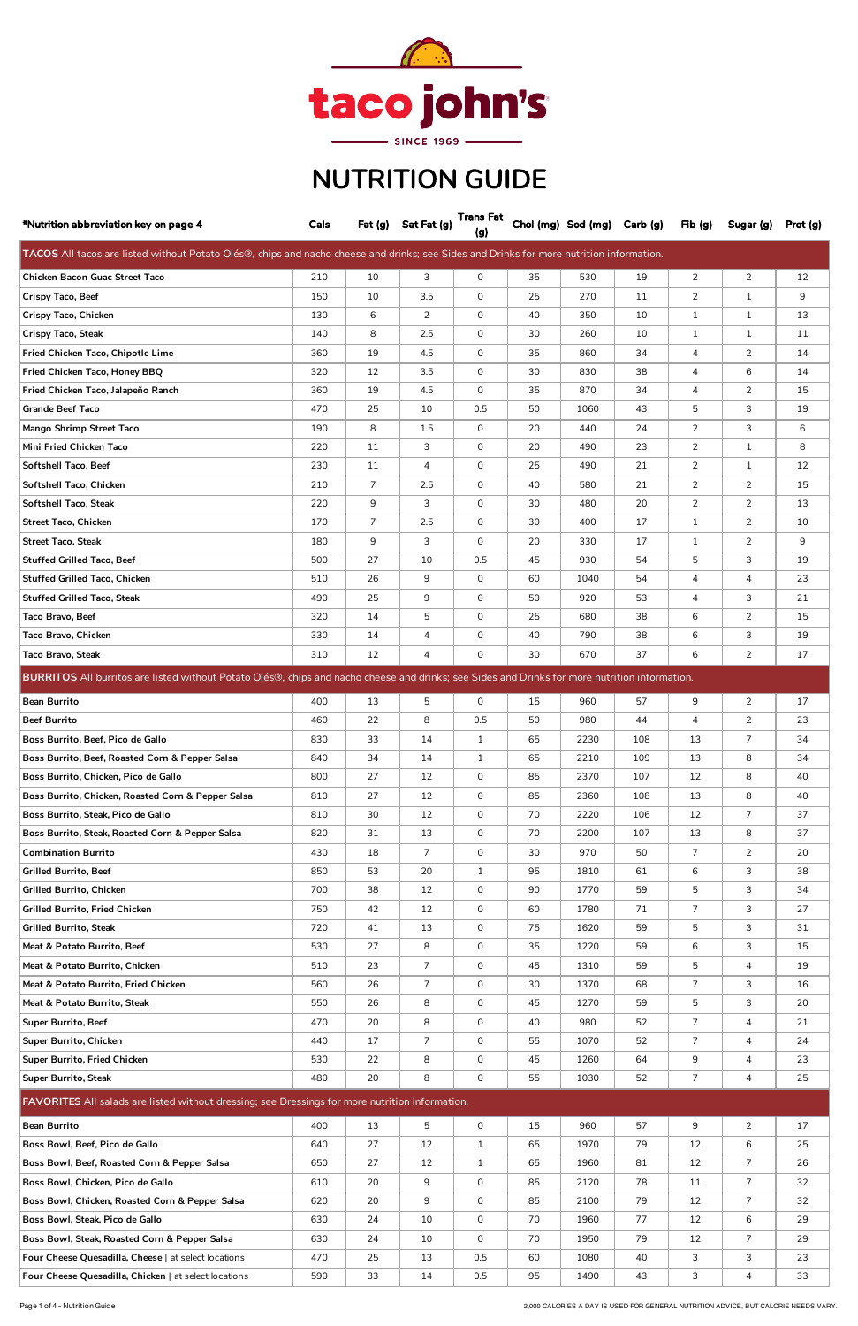| *Nutrition abbreviation key on page 4                                                                                                          | Cals |                | Fat (g) Sat Fat (g) | <b>Trans Fat</b><br>(g) |    | Chol (mg) Sod (mg) Carb (g) |     | Fib(g)         | Sugar (g)      | Prot (g) |
|------------------------------------------------------------------------------------------------------------------------------------------------|------|----------------|---------------------|-------------------------|----|-----------------------------|-----|----------------|----------------|----------|
| TACOS All tacos are listed without Potato Olés®, chips and nacho cheese and drinks; see Sides and Drinks for more nutrition information.       |      |                |                     |                         |    |                             |     |                |                |          |
| Chicken Bacon Guac Street Taco                                                                                                                 | 210  | 10             | 3                   | 0                       | 35 | 530                         | 19  | $\overline{2}$ | $\overline{2}$ | 12       |
| Crispy Taco, Beef                                                                                                                              | 150  | 10             | 3.5                 | 0                       | 25 | 270                         | 11  | $\overline{2}$ | $\mathbf{1}$   | 9        |
| Crispy Taco, Chicken                                                                                                                           | 130  | 6              | 2                   | 0                       | 40 | 350                         | 10  | 1              | $\mathbf{1}$   | 13       |
| <b>Crispy Taco, Steak</b>                                                                                                                      | 140  | 8              | 2.5                 | 0                       | 30 | 260                         | 10  | $\mathbf{1}$   | $\mathbf{1}$   | 11       |
| Fried Chicken Taco, Chipotle Lime                                                                                                              | 360  | 19             | 4.5                 | 0                       | 35 | 860                         | 34  | 4              | 2              | 14       |
| Fried Chicken Taco, Honey BBQ                                                                                                                  | 320  | 12             | 3.5                 | 0                       | 30 | 830                         | 38  | 4              | 6              | 14       |
| Fried Chicken Taco, Jalapeño Ranch                                                                                                             | 360  | 19             | 4.5                 | 0                       | 35 | 870                         | 34  | 4              | 2              | 15       |
| <b>Grande Beef Taco</b>                                                                                                                        | 470  | 25             | 10                  | 0.5                     | 50 | 1060                        | 43  | 5              | 3              | 19       |
| Mango Shrimp Street Taco                                                                                                                       | 190  | 8              | 1.5                 | 0                       | 20 | 440                         | 24  | $\overline{2}$ | 3              | 6        |
| Mini Fried Chicken Taco                                                                                                                        | 220  | 11             | 3                   | 0                       | 20 | 490                         | 23  | $\overline{2}$ | $\mathbf{1}$   | 8        |
| Softshell Taco, Beef                                                                                                                           | 230  | 11             | 4                   | 0                       | 25 | 490                         | 21  | $\overline{2}$ | $\mathbf{1}$   | 12       |
| Softshell Taco, Chicken                                                                                                                        | 210  | $\overline{7}$ | 2.5                 | 0                       | 40 | 580                         | 21  | $\overline{2}$ | $\overline{2}$ | 15       |
| Softshell Taco, Steak                                                                                                                          | 220  | 9              | 3                   | 0                       | 30 | 480                         | 20  | $\overline{2}$ | $\overline{2}$ | 13       |
| <b>Street Taco, Chicken</b>                                                                                                                    | 170  | 7              | 2.5                 | 0                       | 30 | 400                         | 17  | $\mathbf{1}$   | $\overline{2}$ | 10       |
| <b>Street Taco, Steak</b>                                                                                                                      | 180  | 9              | 3                   | 0                       | 20 | 330                         | 17  | 1              | 2              | 9        |
| <b>Stuffed Grilled Taco, Beef</b>                                                                                                              | 500  | 27             | 10                  | 0.5                     | 45 | 930                         | 54  | 5              | 3              | 19       |
| Stuffed Grilled Taco, Chicken                                                                                                                  | 510  | 26             | 9                   | 0                       | 60 | 1040                        | 54  | 4              | 4              | 23       |
| <b>Stuffed Grilled Taco, Steak</b>                                                                                                             | 490  | 25             | 9                   | 0                       | 50 | 920                         | 53  | 4              | 3              | 21       |
| Taco Bravo, Beef                                                                                                                               | 320  | 14             | 5                   | 0                       | 25 | 680                         | 38  | 6              | 2              | 15       |
| Taco Bravo, Chicken                                                                                                                            | 330  | 14             | 4                   | 0                       | 40 | 790                         | 38  | 6              | 3              | 19       |
| Taco Bravo, Steak                                                                                                                              | 310  | 12             | 4                   | 0                       | 30 | 670                         | 37  | 6              | 2              | 17       |
| BURRITOS All burritos are listed without Potato Olés®, chips and nacho cheese and drinks; see Sides and Drinks for more nutrition information. |      |                |                     |                         |    |                             |     |                |                |          |
| Bean Burrito                                                                                                                                   | 400  | $\top$ 13      | $\top$ 5            | $\overline{0}$          | 15 | 960                         | 57  | 9              | 2              | 17       |
| <b>Beef Burrito</b>                                                                                                                            | 460  | 22             | 8                   | 0.5                     | 50 | 980                         | 44  | 4              | 2              | 23       |
| Boss Burrito, Beef, Pico de Gallo                                                                                                              | 830  | 33             | 14                  | $\mathbf{1}$            | 65 | 2230                        | 108 | 13             | $\overline{7}$ | 34       |
| Boss Burrito, Beef, Roasted Corn & Pepper Salsa                                                                                                | 840  | 34             | 14                  | $\mathbf{1}$            | 65 | 2210                        | 109 | 13             | 8              | 34       |
| Boss Burrito, Chicken, Pico de Gallo                                                                                                           | 800  | 27             | 12                  | 0                       | 85 | 2370                        | 107 | 12             | 8              | 40       |
| Boss Burrito, Chicken, Roasted Corn & Pepper Salsa                                                                                             | 810  | 27             | 12                  | 0                       | 85 | 2360                        | 108 | 13             | 8              | 40       |
| Boss Burrito, Steak, Pico de Gallo                                                                                                             | 810  | 30             | 12                  | 0                       | 70 | 2220                        | 106 | 12             | $\overline{7}$ | 37       |
| Boss Burrito, Steak, Roasted Corn & Pepper Salsa                                                                                               | 820  | 31             | 13                  | 0                       | 70 | 2200                        | 107 | 13             | 8              | 37       |
| <b>Combination Burrito</b>                                                                                                                     | 430  | 18             | 7                   | 0                       | 30 | 970                         | 50  | 7              | 2              | 20       |
| <b>Grilled Burrito, Beef</b>                                                                                                                   | 850  | 53             | 20                  | $\mathbf{1}$            | 95 | 1810                        | 61  | 6              | 3              | 38       |
| Grilled Burrito, Chicken                                                                                                                       | 700  | 38             | 12                  | 0                       | 90 | 1770                        | 59  | 5              | 3              | 34       |
| <b>Grilled Burrito, Fried Chicken</b>                                                                                                          | 750  | 42             | 12                  | 0                       | 60 | 1780                        | 71  | $\overline{7}$ | 3              | 27       |
| <b>Grilled Burrito, Steak</b>                                                                                                                  | 720  | 41             | 13                  | 0                       | 75 | 1620                        | 59  | 5              | 3              | 31       |
| Meat & Potato Burrito, Beef                                                                                                                    | 530  | 27             | 8                   | 0                       | 35 | 1220                        | 59  | 6              | 3              | 15       |
| Meat & Potato Burrito, Chicken                                                                                                                 | 510  | 23             | 7                   | 0                       | 45 | 1310                        | 59  | 5              | 4              | 19       |
| Meat & Potato Burrito, Fried Chicken                                                                                                           | 560  | 26             | $\overline{7}$      | 0                       | 30 | 1370                        | 68  | $\overline{7}$ | 3              | 16       |
| Meat & Potato Burrito, Steak                                                                                                                   | 550  | 26             | 8                   | 0                       | 45 | 1270                        | 59  | 5              | 3              | 20       |
| Super Burrito, Beef                                                                                                                            | 470  | 20             | 8                   | 0                       | 40 | 980                         | 52  | 7              | 4              | 21       |
| Super Burrito, Chicken                                                                                                                         | 440  | 17             | $\overline{7}$      | 0                       | 55 | 1070                        | 52  | 7              | 4              | 24       |
| Super Burrito, Fried Chicken                                                                                                                   | 530  | 22             | 8                   | 0                       | 45 | 1260                        | 64  | 9              | 4              | 23       |
| <b>Super Burrito, Steak</b>                                                                                                                    | 480  | 20             | 8                   | 0                       | 55 | 1030                        | 52  | 7              | 4              | 25       |
| FAVORITES All salads are listed without dressing; see Dressings for more nutrition information.                                                |      |                |                     |                         |    |                             |     |                |                |          |
| <b>Bean Burrito</b>                                                                                                                            | 400  | 13             | 5                   | 0                       | 15 | 960                         | 57  | 9              | $\overline{2}$ | 17       |
| Boss Bowl, Beef, Pico de Gallo                                                                                                                 | 640  | 27             | 12                  | $\mathbf{1}$            | 65 | 1970                        | 79  | 12             | 6              | 25       |
| Boss Bowl, Beef, Roasted Corn & Pepper Salsa                                                                                                   | 650  | 27             | 12                  | $\mathbf{1}$            | 65 | 1960                        | 81  | 12             | 7              | 26       |
| Boss Bowl, Chicken, Pico de Gallo                                                                                                              | 610  | 20             | 9                   | 0                       | 85 | 2120                        | 78  | 11             | 7              | 32       |
| Boss Bowl, Chicken, Roasted Corn & Pepper Salsa                                                                                                | 620  | 20             | 9                   | 0                       | 85 | 2100                        | 79  | 12             | $\overline{7}$ | 32       |
| Boss Bowl, Steak, Pico de Gallo                                                                                                                | 630  | 24             | 10                  | $\overline{0}$          | 70 | 1960                        | 77  | 12             | 6              | 29       |
| Boss Bowl, Steak, Roasted Corn & Pepper Salsa                                                                                                  | 630  | 24             | 10                  | 0                       | 70 | 1950                        | 79  | 12             | $\overline{7}$ | 29       |
| Four Cheese Quesadilla, Cheese   at select locations                                                                                           | 470  | 25             | 13                  | 0.5                     | 60 | 1080                        | 40  | 3              | 3              | 23       |
| Four Cheese Quesadilla, Chicken   at select locations                                                                                          | 590  | 33             | 14                  | 0.5                     | 95 | 1490                        | 43  | 3              | 4              | 33       |



## NUTRITION GUIDE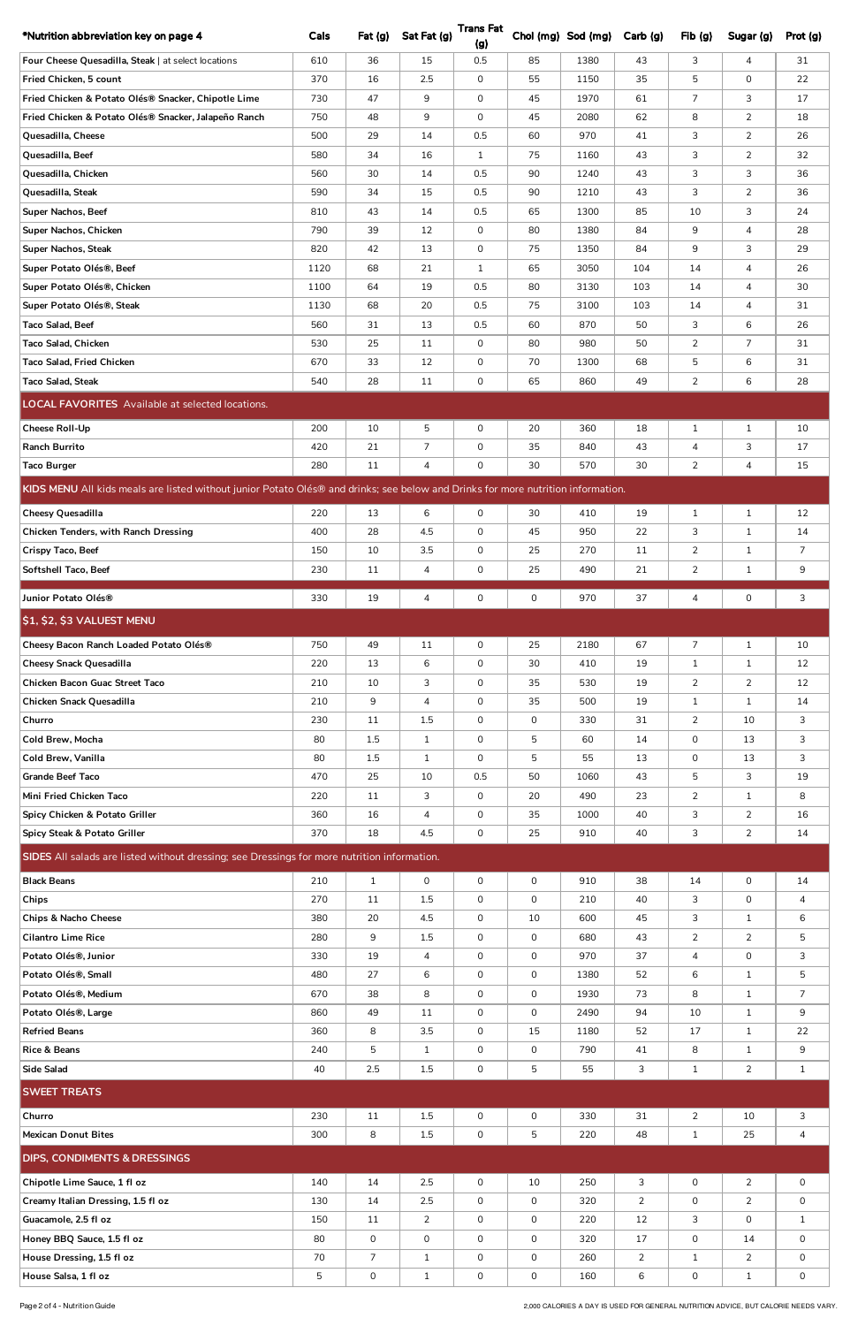| *Nutrition abbreviation key on page 4                                                                                            | Cals         | Fat $(g)$      | Sat Fat (g)    | <b>Trans Fat</b><br>(g) |              | Chol (mg) Sod (mg) | Carb (g)       | Fib(g)            | Sugar (g)      | Prot (g)       |
|----------------------------------------------------------------------------------------------------------------------------------|--------------|----------------|----------------|-------------------------|--------------|--------------------|----------------|-------------------|----------------|----------------|
| Four Cheese Quesadilla, Steak   at select locations                                                                              | 610          | 36             | 15             | 0.5                     | 85           | 1380               | 43             | 3                 | 4              | 31             |
| Fried Chicken, 5 count                                                                                                           | 370          | 16             | 2.5            | 0                       | 55           | 1150               | 35             | 5                 | $\mathsf{O}$   | 22             |
| Fried Chicken & Potato Olés® Snacker, Chipotle Lime                                                                              | 730          | 47             | 9              | 0                       | 45           | 1970               | 61             | $\overline{7}$    | 3              | 17             |
| Fried Chicken & Potato Olés® Snacker, Jalapeño Ranch                                                                             | 750          | 48             | 9              | 0                       | 45           | 2080               | 62             | 8                 | 2              | 18             |
| Quesadilla, Cheese                                                                                                               | 500          | 29             | 14             | 0.5                     | 60           | 970                | 41             | 3                 | $\overline{2}$ | 26             |
| Quesadilla, Beef                                                                                                                 | 580          | 34             | 16             | $\mathbf{1}$            | 75           | 1160               | 43             | 3                 | $\mathbf{2}$   | 32             |
| Quesadilla, Chicken                                                                                                              | 560          | 30             | 14             | 0.5                     | 90           | 1240               | 43             | 3                 | 3              | 36             |
| Quesadilla, Steak                                                                                                                | 590          | 34             | 15             | 0.5                     | 90           | 1210               | 43             | 3                 | $\overline{2}$ | 36             |
| Super Nachos, Beef                                                                                                               | 810          | 43             | 14             | 0.5                     | 65           | 1300               | 85             | 10                | 3              | 24             |
| Super Nachos, Chicken                                                                                                            | 790          | 39             | 12             | 0                       | 80           | 1380               | 84             | 9                 | 4              | 28             |
| <b>Super Nachos, Steak</b>                                                                                                       | 820          | 42             | 13             | 0                       | 75           | 1350               | 84             | 9                 | 3              | 29             |
| Super Potato Olés®, Beef                                                                                                         | 1120         | 68             | 21             | $\mathbf{1}$            | 65           | 3050               | 104            | 14                | 4              | 26             |
| Super Potato Olés®, Chicken                                                                                                      | 1100<br>1130 | 64<br>68       | 19<br>20       | 0.5<br>0.5              | 80<br>75     | 3130<br>3100       | 103<br>103     | 14<br>14          | 4<br>4         | 30<br>31       |
| Super Potato Olés®, Steak<br>Taco Salad, Beef                                                                                    | 560          | 31             | 13             | 0.5                     | 60           | 870                | 50             | 3                 | 6              | 26             |
| Taco Salad, Chicken                                                                                                              | 530          | 25             | 11             | 0                       | 80           | 980                | 50             | $\overline{2}$    | $\overline{7}$ | 31             |
| Taco Salad, Fried Chicken                                                                                                        | 670          | 33             | 12             | 0                       | 70           | 1300               | 68             | 5                 | 6              | 31             |
| Taco Salad, Steak                                                                                                                | 540          | 28             | 11             | 0                       | 65           | 860                | 49             | $\overline{2}$    | 6              | 28             |
| <b>LOCAL FAVORITES</b> Available at selected locations.                                                                          |              |                |                |                         |              |                    |                |                   |                |                |
|                                                                                                                                  |              |                |                |                         |              |                    |                |                   |                |                |
| <b>Cheese Roll-Up</b>                                                                                                            | 200          | 10             | 5              | 0                       | 20           | 360                | 18             | $\mathbf{1}$      | $\mathbf{1}$   | 10             |
| <b>Ranch Burrito</b><br><b>Taco Burger</b>                                                                                       | 420<br>280   | 21<br>11       | 7<br>4         | 0<br>0                  | 35<br>30     | 840<br>570         | 43<br>30       | 4<br>$\mathbf{2}$ | 3<br>4         | 17<br>15       |
|                                                                                                                                  |              |                |                |                         |              |                    |                |                   |                |                |
| KIDS MENU All kids meals are listed without junior Potato Olés® and drinks; see below and Drinks for more nutrition information. |              |                |                |                         |              |                    |                |                   |                |                |
| Cheesy Quesadilla                                                                                                                | 220          | 13             | 6              | 0                       | 30           | 410                | 19             | $\mathbf{1}$      | $\mathbf{1}$   | 12             |
| Chicken Tenders, with Ranch Dressing                                                                                             | 400          | 28             | 4.5            | 0                       | 45           | 950                | 22             | 3                 | $\mathbf{1}$   | 14             |
| Crispy Taco, Beef                                                                                                                | 150          | 10             | 3.5            | 0                       | 25           | 270                | 11             | $\mathbf{2}$      | $\mathbf{1}$   | $\overline{7}$ |
| Softshell Taco, Beef                                                                                                             | 230          | 11             | 4              | 0                       | 25           | 490                | 21             | $\overline{2}$    | $\mathbf{1}$   | 9              |
| Junior Potato Olés®                                                                                                              | 330          | 19             | 4              | 0                       | 0            | 970                | 37             | 4                 | 0              | $\mathsf{3}$   |
| $ \$1, \$2, \$3$ VALUEST MENU                                                                                                    |              |                |                |                         |              |                    |                |                   |                |                |
| Cheesy Bacon Ranch Loaded Potato Olés®                                                                                           | 750          | 49             | 11             | 0                       | 25           | 2180               | 67             | $\overline{7}$    | $\mathbf{1}$   | 10             |
| <b>Cheesy Snack Quesadilla</b>                                                                                                   | 220          | 13             | 6              | 0                       | 30           | 410                | 19             | $\mathbf{1}$      | $\mathbf{1}$   | 12             |
| Chicken Bacon Guac Street Taco                                                                                                   | 210          | 10             | 3              | 0                       | 35           | 530                | 19             | $\mathbf{2}$      | $\overline{2}$ | 12             |
| Chicken Snack Quesadilla                                                                                                         | 210          | 9              | $\overline{4}$ | 0                       | 35           | 500                | 19             | $\mathbf{1}$      | $\mathbf{1}$   | 14             |
| Churro                                                                                                                           | 230          | 11             | 1.5            | 0                       | 0            | 330                | 31             | $\overline{2}$    | 10             | 3              |
| Cold Brew, Mocha                                                                                                                 | 80           | 1.5            | $\mathbf{1}$   | 0                       | 5            | 60                 | 14             | 0                 | 13             | 3              |
| Cold Brew, Vanilla                                                                                                               | 80           | 1.5            | $\mathbf{1}$   | 0                       | 5            | 55                 | 13             | $\mathsf{O}$      | 13             | 3              |
| <b>Grande Beef Taco</b>                                                                                                          | 470          | 25             | 10             | 0.5                     | 50           | 1060               | 43             | 5                 | 3              | 19             |
| Mini Fried Chicken Taco                                                                                                          | 220          | 11             | 3              | 0                       | 20           | 490                | 23             | $\overline{2}$    | $\mathbf{1}$   | 8              |
| Spicy Chicken & Potato Griller                                                                                                   | 360          | 16             | 4              | 0                       | 35           | 1000               | 40             | 3                 | $\overline{2}$ | 16             |
| Spicy Steak & Potato Griller                                                                                                     | 370          | 18             | 4.5            | 0                       | 25           | 910                | 40             | 3                 | $\overline{2}$ | 14             |
| SIDES All salads are listed without dressing; see Dressings for more nutrition information.                                      |              |                |                |                         |              |                    |                |                   |                |                |
| <b>Black Beans</b>                                                                                                               | 210          | $\mathbf{1}$   | $\mathbf 0$    | 0                       | 0            | 910                | 38             | 14                | $\mathsf{O}$   | 14             |
| Chips                                                                                                                            | 270          | 11             | 1.5            | 0                       | $\mathsf{O}$ | 210                | 40             | 3                 | $\mathsf{O}$   | $\overline{4}$ |
| <b>Chips &amp; Nacho Cheese</b>                                                                                                  | 380          | 20             | 4.5            | 0                       | 10           | 600                | 45             | 3                 | $\mathbf{1}$   | 6              |
| <b>Cilantro Lime Rice</b>                                                                                                        | 280          | 9              | 1.5            | 0                       | $\mathbf 0$  | 680                | 43             | $\overline{2}$    | $2^{\circ}$    | 5              |
| Potato Olés®, Junior                                                                                                             | 330          | 19             | 4              | 0                       | $\mathbf 0$  | 970                | 37             | 4                 | 0              | 3              |
| Potato Olés®, Small                                                                                                              | 480          | 27             | 6              | 0                       | 0            | 1380               | 52             | 6                 | $\mathbf{1}$   | $\overline{5}$ |
| Potato Olés®, Medium                                                                                                             | 670          | 38             | 8              | 0                       | 0            | 1930               | 73             | 8                 | $\mathbf{1}$   | $\overline{7}$ |
| Potato Olés®, Large                                                                                                              | 860          | 49             | 11             | 0                       | 0            | 2490               | 94             | 10                | $\mathbf{1}$   | 9              |
| <b>Refried Beans</b>                                                                                                             | 360          | 8              | 3.5            | 0                       | 15           | 1180               | 52             | 17                | $\mathbf{1}$   | 22             |
| <b>Rice &amp; Beans</b>                                                                                                          | 240          | 5              | $\mathbf{1}$   | 0                       | 0            | 790                | 41             | 8                 | $\mathbf{1}$   | 9              |
| Side Salad                                                                                                                       | 40           | 2.5            | 1.5            | $\mathsf{O}\xspace$     | 5            | 55                 | 3              | $\mathbf{1}$      | $\overline{2}$ | $\mathbf{1}$   |
| <b>SWEET TREATS</b>                                                                                                              |              |                |                |                         |              |                    |                |                   |                |                |
| Churro                                                                                                                           | 230          | 11             | 1.5            | 0                       | 0            | 330                | 31             | $\overline{2}$    | 10             | 3              |
| <b>Mexican Donut Bites</b>                                                                                                       | 300          | 8              | 1.5            | $\mathsf{O}\xspace$     | 5            | 220                | 48             | $\mathbf{1}$      | 25             | $\overline{4}$ |
| <b>DIPS, CONDIMENTS &amp; DRESSINGS</b>                                                                                          |              |                |                |                         |              |                    |                |                   |                |                |
| Chipotle Lime Sauce, 1 fl oz                                                                                                     | 140          | 14             | 2.5            | 0                       | 10           | 250                | 3              | $\mathsf{O}$      | $\overline{2}$ | 0              |
| Creamy Italian Dressing, 1.5 fl oz                                                                                               | 130          | 14             | 2.5            | 0                       | 0            | 320                | $\overline{2}$ | 0                 | $\overline{2}$ | 0              |
| Guacamole, 2.5 fl oz                                                                                                             | 150          | 11             | $\mathbf{2}$   | 0                       | 0            | 220                | 12             | 3                 | 0              | $\mathbf{1}$   |
| Honey BBQ Sauce, 1.5 fl oz                                                                                                       | 80           | 0              | 0              | 0                       | 0            | 320                | 17             | 0                 | 14             | 0              |
| House Dressing, 1.5 fl oz                                                                                                        | 70           | $\overline{7}$ | $\mathbf{1}$   | 0                       | 0            | 260                | $\overline{2}$ | $\mathbf{1}$      | $\overline{2}$ | $\overline{0}$ |
| House Salsa, 1 fl oz                                                                                                             | 5            | $\mathsf{O}$   | $1\,$          | $\mathsf{O}\xspace$     | $\mathbf 0$  | 160                | 6              | $\overline{0}$    | $\mathbf{1}$   | $\overline{0}$ |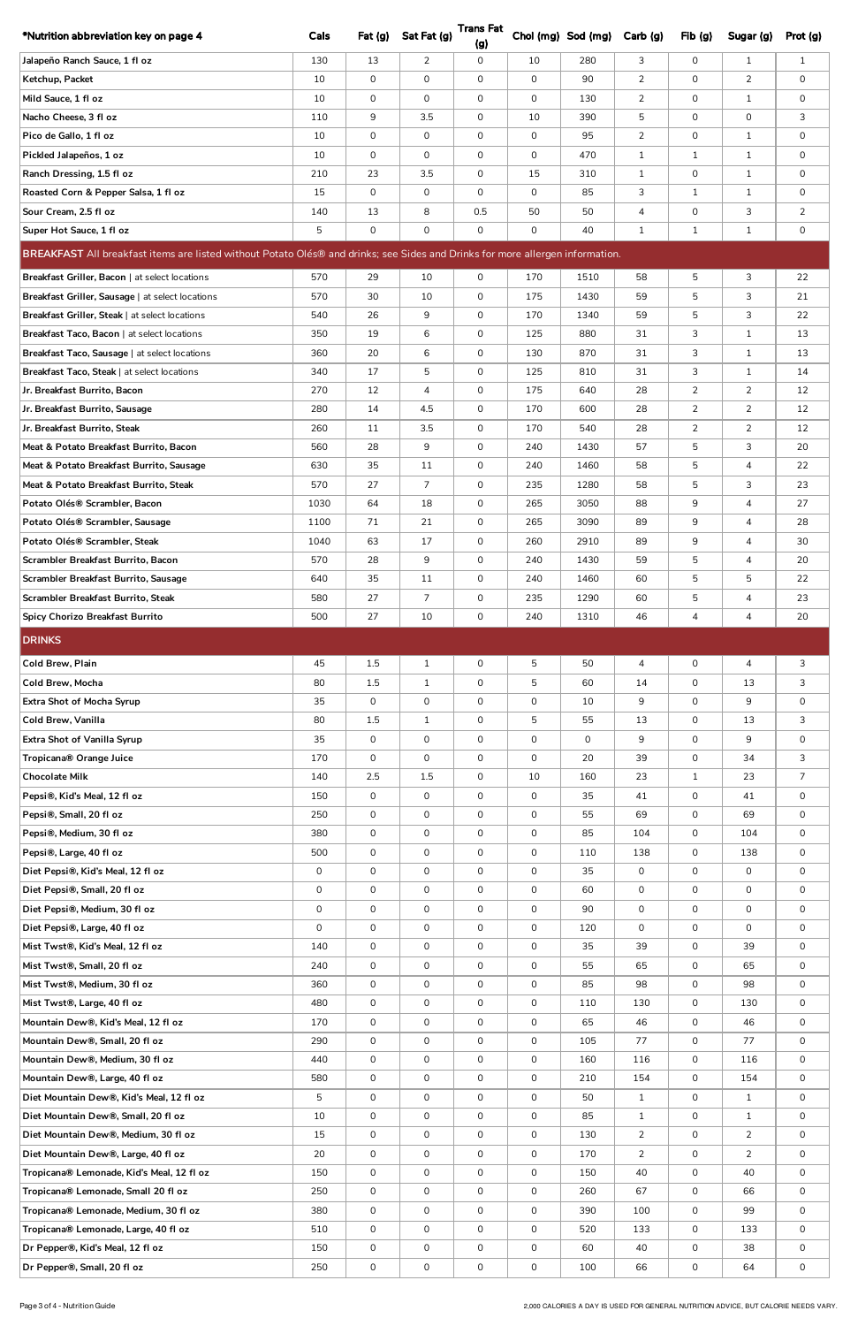| *Nutrition abbreviation key on page 4                                                                                         | Cals               | Fat(g)              | Sat Fat (g)         | <b>Trans Fat</b><br>(g)    |                              | Chol (mg) Sod (mg) | Carb (g)       | Fib(g)              | Sugar (g)      | Prot (g)          |
|-------------------------------------------------------------------------------------------------------------------------------|--------------------|---------------------|---------------------|----------------------------|------------------------------|--------------------|----------------|---------------------|----------------|-------------------|
| Jalapeño Ranch Sauce, 1 fl oz                                                                                                 | 130                | 13                  | $\overline{2}$      | $\mathsf{O}\xspace$        | 10                           | 280                | 3              | $\mathsf{O}$        | $\mathbf{1}$   | $\mathbf{1}$      |
| Ketchup, Packet                                                                                                               | 10                 | $\mathbf 0$         | $\mathbf 0$         | $\mathbf 0$                | $\mathsf{O}$                 | 90                 | $\overline{2}$ | $\overline{0}$      | $\overline{2}$ | 0                 |
| Mild Sauce, 1 fl oz                                                                                                           | 10                 | $\mathbf 0$         | $\mathbf 0$         | $\mathbf 0$                | $\Omega$                     | 130                | $\overline{2}$ | $\overline{0}$      | $\mathbf{1}$   | 0                 |
| Nacho Cheese, 3 fl oz                                                                                                         | 110                | 9                   | 3.5                 | $\mathbf 0$                | 10                           | 390                | 5              | 0                   | 0              | 3                 |
| Pico de Gallo, 1 fl oz                                                                                                        | 10                 | 0                   | 0                   | 0                          | $\mathbf{O}$                 | 95                 | $\overline{2}$ | 0                   | $\mathbf{1}$   | 0                 |
| Pickled Jalapeños, 1 oz                                                                                                       | 10                 | 0                   | 0                   | 0                          | $\mathsf{O}$                 | 470                | $\mathbf{1}$   | $\mathbf{1}$        | $\mathbf{1}$   | 0                 |
| Ranch Dressing, 1.5 fl oz                                                                                                     | 210                | 23                  | 3.5                 | $\mathbf 0$                | 15                           | 310                | $\mathbf{1}$   | 0                   | $\mathbf{1}$   | 0                 |
| Roasted Corn & Pepper Salsa, 1 fl oz                                                                                          | 15                 | 0                   | 0                   | $\mathbf 0$                | 0                            | 85                 | 3              | $\mathbf{1}$        | $\mathbf{1}$   | 0                 |
| Sour Cream, 2.5 fl oz                                                                                                         | 140                | 13                  | 8                   | 0.5                        | 50                           | 50                 | 4              | 0                   | 3              | $\overline{2}$    |
| Super Hot Sauce, 1 fl oz                                                                                                      | 5                  | 0                   | 0                   | 0                          | 0                            | 40                 | $\mathbf{1}$   | $\mathbf{1}$        | $\mathbf{1}$   | $\mathsf{O}$      |
| BREAKFAST All breakfast items are listed without Potato Olés® and drinks; see Sides and Drinks for more allergen information. |                    |                     |                     |                            |                              |                    |                |                     |                |                   |
|                                                                                                                               | 570                | 29                  | 10                  |                            | 170                          |                    | 58             |                     | 3              | 22                |
| Breakfast Griller, Bacon   at select locations<br>Breakfast Griller, Sausage   at select locations                            | 570                | 30                  | 10                  | 0<br>0                     | 175                          | 1510<br>1430       | 59             | 5                   | 3              | 21                |
| Breakfast Griller, Steak   at select locations                                                                                | 540                | 26                  | 9                   | $\mathbf 0$                | 170                          | 1340               | 59             | 5<br>5              | 3              | 22                |
| Breakfast Taco, Bacon   at select locations                                                                                   | 350                | 19                  | 6                   | 0                          | 125                          | 880                | 31             | 3                   | $\mathbf{1}$   | 13                |
| Breakfast Taco, Sausage   at select locations                                                                                 | 360                | 20                  | 6                   | $\mathsf{O}$               | 130                          | 870                | 31             | 3                   | $\mathbf{1}$   | 13                |
| Breakfast Taco, Steak   at select locations                                                                                   | 340                | 17                  | 5                   | $\mathbf 0$                | 125                          | 810                | 31             | 3                   | $\mathbf{1}$   | 14                |
| Jr. Breakfast Burrito, Bacon                                                                                                  | 270                | 12                  | 4                   | $\mathbf 0$                | 175                          | 640                | 28             | $\overline{2}$      | $\overline{2}$ | 12                |
| Jr. Breakfast Burrito, Sausage                                                                                                | 280                | 14                  | 4.5                 | 0                          | 170                          | 600                | 28             | $\overline{2}$      | 2              | 12                |
| Jr. Breakfast Burrito, Steak                                                                                                  | 260                | 11                  | 3.5                 | 0                          | 170                          | 540                | 28             | $\overline{2}$      | $\overline{2}$ | 12                |
| Meat & Potato Breakfast Burrito, Bacon                                                                                        | 560                | 28                  | 9                   | 0                          | 240                          | 1430               | 57             | 5                   | 3              | 20                |
| Meat & Potato Breakfast Burrito, Sausage                                                                                      | 630                | 35                  | 11                  | $\mathbf 0$                | 240                          | 1460               | 58             | 5                   | $\overline{4}$ | 22                |
| Meat & Potato Breakfast Burrito, Steak                                                                                        | 570                | 27                  | $\overline{7}$      | 0                          | 235                          | 1280               | 58             | 5                   | 3              | 23                |
| Potato Olés® Scrambler, Bacon                                                                                                 | 1030               | 64                  | 18                  | 0                          | 265                          | 3050               | 88             | 9                   | 4              | 27                |
| Potato Olés® Scrambler, Sausage                                                                                               | 1100               | 71                  | 21                  | $\mathbf 0$                | 265                          | 3090               | 89             | 9                   | $\overline{4}$ | 28                |
| Potato Olés® Scrambler, Steak                                                                                                 | 1040               | 63                  | 17                  | $\mathsf{O}$               | 260                          | 2910               | 89             | 9                   | $\overline{4}$ | 30                |
| Scrambler Breakfast Burrito, Bacon                                                                                            | 570                | 28                  | 9                   | $\mathbf 0$                | 240                          | 1430               | 59             | 5                   | $\overline{4}$ | 20                |
| Scrambler Breakfast Burrito, Sausage                                                                                          | 640                | 35                  | 11                  | $\mathbf 0$                | 240                          | 1460               | 60             | 5                   | 5              | 22                |
| Scrambler Breakfast Burrito, Steak                                                                                            | 580                | 27                  | $\overline{7}$      | 0                          | 235                          | 1290               | 60             | 5                   | 4              | 23                |
| <b>Spicy Chorizo Breakfast Burrito</b>                                                                                        | 500                | 27                  | 10                  | $\mathsf{O}\xspace$        | 240                          | 1310               | 46             | 4                   | 4              | 20                |
| <b>DRINKS</b>                                                                                                                 |                    |                     |                     |                            |                              |                    |                |                     |                |                   |
|                                                                                                                               |                    |                     |                     |                            |                              |                    |                |                     |                |                   |
|                                                                                                                               |                    |                     |                     |                            |                              |                    |                |                     |                |                   |
| Cold Brew, Plain                                                                                                              | 45                 | 1.5                 | $\mathbf{1}$        | $\mathbf 0$                | 5                            | 50                 | $\overline{4}$ | $\mathsf{O}$        | $\overline{4}$ | 3                 |
| Cold Brew, Mocha                                                                                                              | 80                 | 1.5                 | $\mathbf{1}$        | $\mathbf 0$                | 5                            | 60                 | 14             | $\mathsf{O}$        | 13             | 3                 |
| <b>Extra Shot of Mocha Syrup</b>                                                                                              | 35                 | $\mathbf 0$         | 0                   | 0                          | 0                            | 10                 | 9              | 0                   | 9              | $\mathsf{O}$      |
| Cold Brew, Vanilla                                                                                                            | 80                 | 1.5                 | $\mathbf{1}$        | 0                          | 5                            | 55                 | 13             | 0                   | 13             | 3                 |
| Extra Shot of Vanilla Syrup                                                                                                   | 35                 | 0                   | 0                   | $\mathbf 0$                | 0                            | 0                  | 9              | 0                   | 9              | 0                 |
| Tropicana® Orange Juice                                                                                                       | 170                | 0                   | 0                   | $\mathbf 0$                | $\mathbf 0$                  | 20                 | 39             | 0                   | 34             | 3                 |
| <b>Chocolate Milk</b>                                                                                                         | 140                | 2.5                 | 1.5                 | $\mathbf 0$                | 10                           | 160                | 23             | $\mathbf{1}$        | 23             | $\overline{7}$    |
| Pepsi®, Kid's Meal, 12 fl oz                                                                                                  | 150                | $\mathsf{O}\xspace$ | 0                   | 0                          | 0                            | 35                 | 41             | $\overline{0}$      | 41             | $\mathsf{O}$      |
| Pepsi®, Small, 20 fl oz                                                                                                       | 250                | $\mathbf 0$         | 0                   | $\mathbf 0$                | $\mathsf{O}$                 | 55                 | 69             | $\overline{0}$      | 69             | $\mathsf{O}$      |
| Pepsi®, Medium, 30 fl oz                                                                                                      | 380                | $\mathbf 0$         | 0                   | $\mathsf{O}$               | $\mathsf{O}$                 | 85                 | 104            | $\overline{0}$      | 104            | 0                 |
| Pepsi®, Large, 40 fl oz                                                                                                       | 500<br>$\mathbf 0$ | $\mathbf 0$         | 0<br>$\mathbf 0$    | $\mathbf 0$<br>$\mathbf 0$ | $\mathsf{O}$<br>$\mathsf{O}$ | 110                | 138<br>0       | 0<br>0              | 138<br>0       | 0<br>0            |
| Diet Pepsi®, Kid's Meal, 12 fl oz                                                                                             | 0                  | 0<br>$\mathbf 0$    | 0                   | 0                          | 0                            | 35<br>60           | 0              | $\mathsf{O}$        | 0              |                   |
| Diet Pepsi®, Small, 20 fl oz<br>Diet Pepsi®, Medium, 30 fl oz                                                                 | $\mathbf 0$        | 0                   | $\mathsf 0$         | 0                          | $\mathbf 0$                  | 90                 | $\mathsf{O}$   | 0                   | $\mathbf 0$    | 0<br>$\mathsf{O}$ |
| Diet Pepsi®, Large, 40 fl oz                                                                                                  | $\mathbf 0$        | 0                   | 0                   | $\mathbf 0$                | 0                            | 120                | 0              | 0                   | 0              | 0                 |
| Mist Twst®, Kid's Meal, 12 fl oz                                                                                              | 140                | $\mathbf 0$         | 0                   | $\mathbf 0$                | 0                            | 35                 | 39             | 0                   | 39             | $\mathsf{O}$      |
| Mist Twst®, Small, 20 fl oz                                                                                                   | 240                | 0                   | 0                   | 0                          | 0                            | 55                 | 65             | 0                   | 65             | 0                 |
| Mist Twst®, Medium, 30 fl oz                                                                                                  | 360                | 0                   | 0                   | 0                          | 0                            | 85                 | 98             | 0                   | 98             | $\mathsf{O}$      |
| Mist Twst®, Large, 40 fl oz                                                                                                   | 480                | $\mathsf{O}\xspace$ | $\mathsf{O}\xspace$ | $\mathsf{O}\xspace$        | $\mathsf{O}\xspace$          | 110                | 130            | $\mathsf{O}\xspace$ | 130            | $\mathsf{O}$      |
| Mountain Dew®, Kid's Meal, 12 fl oz                                                                                           | 170                | $\mathbf 0$         | 0                   | $\mathsf{O}$               | $\mathsf{O}$                 | 65                 | 46             | $\overline{0}$      | 46             | 0                 |
| Mountain Dew®, Small, 20 fl oz                                                                                                | 290                | $\mathsf{O}$        | 0                   | 0                          | 0                            | 105                | 77             | 0                   | 77             | 0                 |
| Mountain Dew®, Medium, 30 fl oz                                                                                               | 440                | 0                   | 0                   | $\mathbf 0$                | 0                            | 160                | 116            | 0                   | 116            | 0                 |
| Mountain Dew®, Large, 40 fl oz                                                                                                | 580                | $\mathsf{O}$        | 0                   | 0                          | 0                            | 210                | 154            | 0                   | 154            | 0                 |
| Diet Mountain Dew®, Kid's Meal, 12 fl oz                                                                                      | 5                  | $\mathsf{O}$        | 0                   | 0                          | $\mathsf{O}$                 | 50                 | $\mathbf{1}$   | 0                   | $\mathbf{1}$   | 0                 |
| Diet Mountain Dew®, Small, 20 fl oz                                                                                           | 10                 | 0                   | 0                   | 0                          | 0                            | 85                 | $\mathbf{1}$   | 0                   | $\mathbf{1}$   | 0                 |
| Diet Mountain Dew®, Medium, 30 fl oz                                                                                          | 15                 | 0                   | 0                   | 0                          | 0                            | 130                | $\overline{2}$ | 0                   | $\overline{2}$ | 0                 |
| Diet Mountain Dew®, Large, 40 fl oz                                                                                           | 20                 | 0                   | 0                   | 0                          | 0                            | 170                | $\mathbf{2}$   | 0                   | 2              | 0                 |
| Tropicana® Lemonade, Kid's Meal, 12 fl oz                                                                                     | 150                | $\mathsf{O}\xspace$ | 0                   | 0                          | 0                            | 150                | 40             | 0                   | 40             | 0                 |
| Tropicana® Lemonade, Small 20 fl oz                                                                                           | 250                | $\mathsf{O}$        | 0                   | $\mathsf{O}$               | 0                            | 260                | 67             | $\overline{0}$      | 66             | 0                 |
| Tropicana® Lemonade, Medium, 30 fl oz                                                                                         | 380                | $\mathsf{O}\xspace$ | 0                   | 0                          | 0                            | 390                | 100            | 0                   | 99             | 0                 |
| Tropicana® Lemonade, Large, 40 fl oz                                                                                          | 510                | $\mathsf{O}$        | 0                   | 0                          | 0                            | 520                | 133            | 0                   | 133            | 0                 |
| Dr Pepper®, Kid's Meal, 12 fl oz                                                                                              | 150                | 0                   | 0                   | 0                          | 0                            | 60                 | 40             | 0                   | 38             | 0                 |